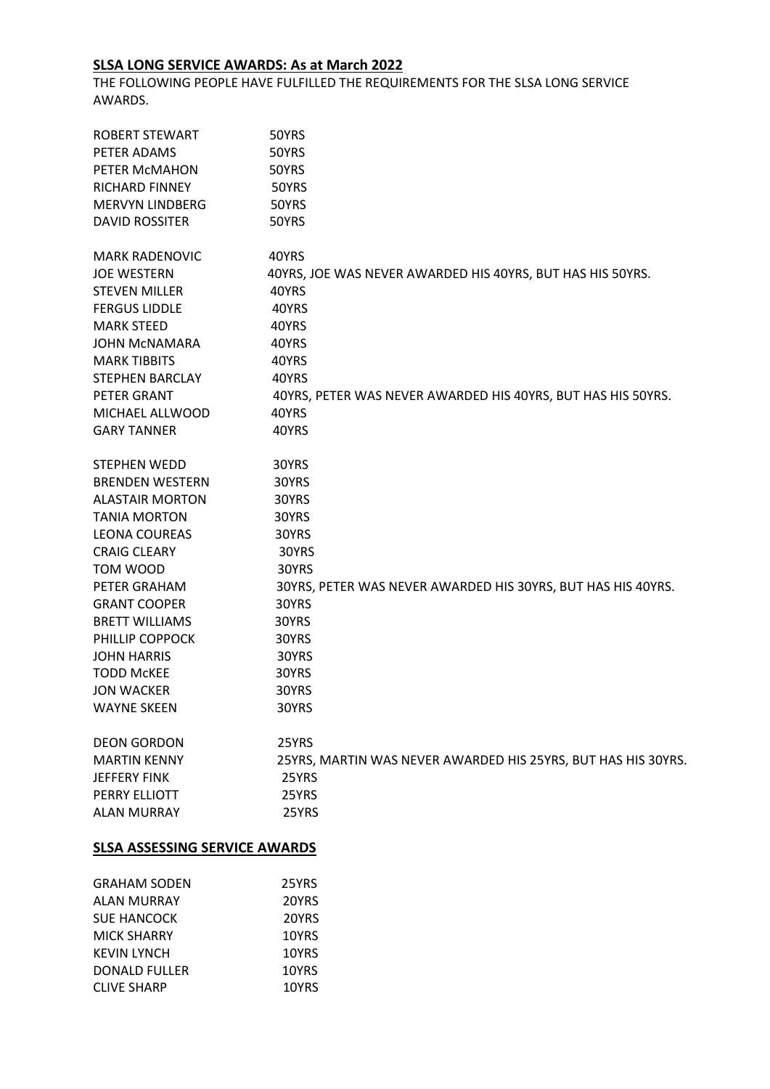## **SLSA LONG SERVICE AWARDS: As at March 2022**

THE FOLLOWING PEOPLE HAVE FULFILLED THE REQUIREMENTS FOR THE SLSA LONG SERVICE AWARDS.

| ROBERT STEWART                       | 50YRS                                                         |
|--------------------------------------|---------------------------------------------------------------|
| PETER ADAMS                          | 50YRS                                                         |
| PETER MCMAHON                        | 50YRS                                                         |
| RICHARD FINNEY                       | 50YRS                                                         |
| MERVYN LINDBERG                      | 50YRS                                                         |
| <b>DAVID ROSSITER</b>                | 50YRS                                                         |
| <b>MARK RADENOVIC</b>                | 40YRS                                                         |
| <b>JOE WESTERN</b>                   | 40YRS, JOE WAS NEVER AWARDED HIS 40YRS, BUT HAS HIS 50YRS.    |
| STEVEN MILLER                        | 40YRS                                                         |
| <b>FERGUS LIDDLE</b>                 | 40YRS                                                         |
| <b>MARK STEED</b>                    | 40YRS                                                         |
| JOHN MCNAMARA                        | 40YRS                                                         |
| <b>MARK TIBBITS</b>                  | 40YRS                                                         |
| STEPHEN BARCLAY                      | 40YRS                                                         |
| PETER GRANT                          | 40YRS, PETER WAS NEVER AWARDED HIS 40YRS, BUT HAS HIS 50YRS.  |
| MICHAEL ALLWOOD                      | 40YRS                                                         |
| <b>GARY TANNER</b>                   | 40YRS                                                         |
| STEPHEN WEDD                         | 30YRS                                                         |
| <b>BRENDEN WESTERN</b>               | 30YRS                                                         |
| <b>ALASTAIR MORTON</b>               | 30YRS                                                         |
| <b>TANIA MORTON</b>                  | 30YRS                                                         |
| LEONA COUREAS                        | 30YRS                                                         |
| <b>CRAIG CLEARY</b>                  | 30YRS                                                         |
| TOM WOOD                             | 30YRS                                                         |
| PETER GRAHAM                         | 30YRS, PETER WAS NEVER AWARDED HIS 30YRS, BUT HAS HIS 40YRS.  |
| <b>GRANT COOPER</b>                  | 30YRS                                                         |
| <b>BRETT WILLIAMS</b>                | 30YRS                                                         |
| PHILLIP COPPOCK                      | 30YRS                                                         |
| <b>JOHN HARRIS</b>                   | 30YRS                                                         |
| <b>TODD McKEE</b>                    | 30YRS                                                         |
| <b>JON WACKER</b>                    | 30YRS                                                         |
| WAYNE SKEEN                          | 30YRS                                                         |
| <b>DEON GORDON</b>                   | 25YRS                                                         |
| <b>MARTIN KENNY</b>                  | 25YRS, MARTIN WAS NEVER AWARDED HIS 25YRS, BUT HAS HIS 30YRS. |
| <b>JEFFERY FINK</b>                  | 25YRS                                                         |
| PERRY ELLIOTT                        | 25YRS                                                         |
| <b>ALAN MURRAY</b>                   | 25YRS                                                         |
| <b>SLSA ASSESSING SERVICE AWARDS</b> |                                                               |
| GRAHAM SODEN                         | <b>JEVRS</b>                                                  |

| 25YRS |
|-------|
| 20YRS |
| 20YRS |
| 10YRS |
| 10YRS |
| 10YRS |
| 10YRS |
|       |